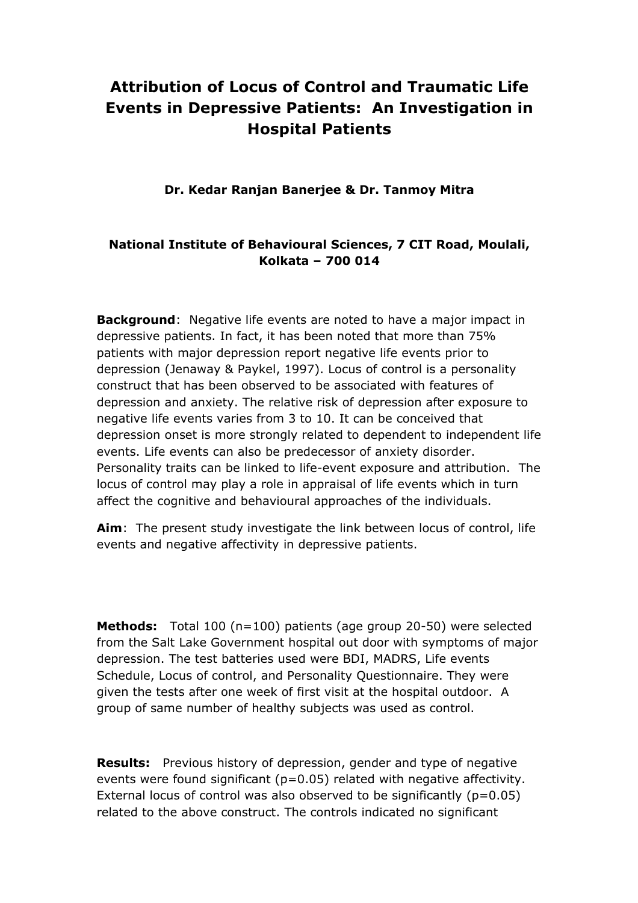## **Attribution of Locus of Control and Traumatic Life Events in Depressive Patients: An Investigation in Hospital Patients**

**Dr. Kedar Ranjan Banerjee & Dr. Tanmoy Mitra**

## **National Institute of Behavioural Sciences, 7 CIT Road, Moulali, Kolkata – 700 014**

**Background**: Negative life events are noted to have a major impact in depressive patients. In fact, it has been noted that more than 75% patients with major depression report negative life events prior to depression (Jenaway & Paykel, 1997). Locus of control is a personality construct that has been observed to be associated with features of depression and anxiety. The relative risk of depression after exposure to negative life events varies from 3 to 10. It can be conceived that depression onset is more strongly related to dependent to independent life events. Life events can also be predecessor of anxiety disorder. Personality traits can be linked to life-event exposure and attribution. The locus of control may play a role in appraisal of life events which in turn affect the cognitive and behavioural approaches of the individuals.

**Aim**: The present study investigate the link between locus of control, life events and negative affectivity in depressive patients.

**Methods:** Total 100 (n=100) patients (age group 20-50) were selected from the Salt Lake Government hospital out door with symptoms of major depression. The test batteries used were BDI, MADRS, Life events Schedule, Locus of control, and Personality Questionnaire. They were given the tests after one week of first visit at the hospital outdoor. A group of same number of healthy subjects was used as control.

**Results:** Previous history of depression, gender and type of negative events were found significant (p=0.05) related with negative affectivity. External locus of control was also observed to be significantly  $(p=0.05)$ related to the above construct. The controls indicated no significant